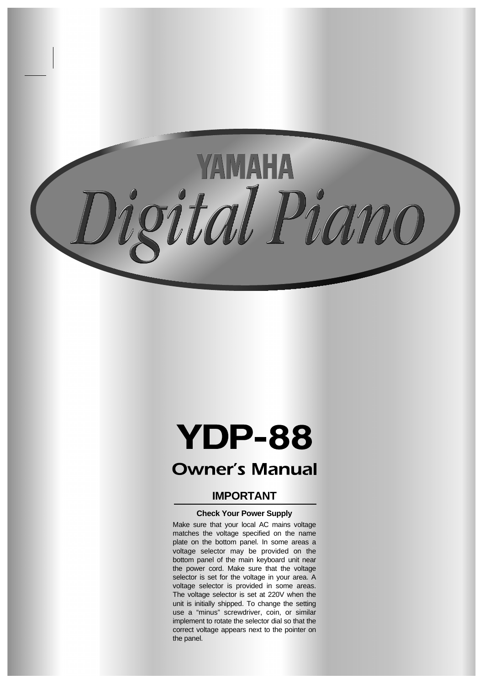

# **YDP-88**

# **Owner's Manual**

## **IMPORTANT**

### **Check Your Power Supply**

Make sure that your local AC mains voltage matches the voltage specified on the name plate on the bottom panel. In some areas a voltage selector may be provided on the bottom panel of the main keyboard unit near the power cord. Make sure that the voltage selector is set for the voltage in your area. A voltage selector is provided in some areas. The voltage selector is set at 220V when the unit is initially shipped. To change the setting use a "minus" screwdriver, coin, or similar implement to rotate the selector dial so that the correct voltage appears next to the pointer on the panel.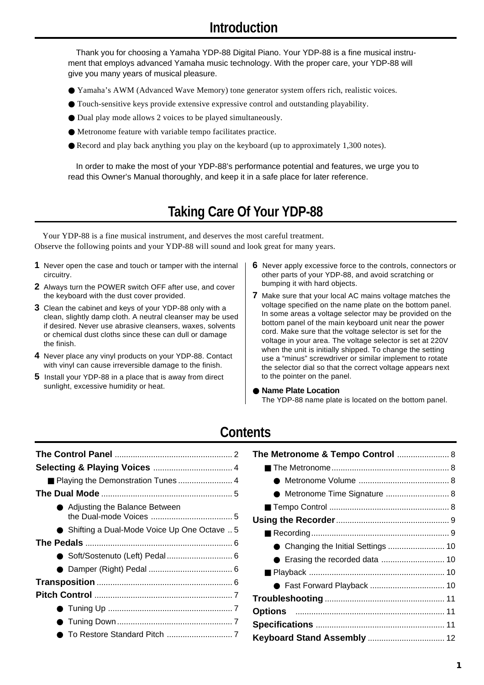Thank you for choosing a Yamaha YDP-88 Digital Piano. Your YDP-88 is a fine musical instrument that employs advanced Yamaha music technology. With the proper care, your YDP-88 will give you many years of musical pleasure.

- Yamaha's AWM (Advanced Wave Memory) tone generator system offers rich, realistic voices.
- Touch-sensitive keys provide extensive expressive control and outstanding playability.
- Dual play mode allows 2 voices to be played simultaneously.
- Metronome feature with variable tempo facilitates practice.
- Record and play back anything you play on the keyboard (up to approximately 1,300 notes).

In order to make the most of your YDP-88's performance potential and features, we urge you to read this Owner's Manual thoroughly, and keep it in a safe place for later reference.

# **Taking Care Of Your YDP-88**

Your YDP-88 is a fine musical instrument, and deserves the most careful treatment. Observe the following points and your YDP-88 will sound and look great for many years.

- **1** Never open the case and touch or tamper with the internal circuitry.
- **2** Always turn the POWER switch OFF after use, and cover the keyboard with the dust cover provided.
- **3** Clean the cabinet and keys of your YDP-88 only with a clean, slightly damp cloth. A neutral cleanser may be used if desired. Never use abrasive cleansers, waxes, solvents or chemical dust cloths since these can dull or damage the finish.
- **4** Never place any vinyl products on your YDP-88. Contact with vinyl can cause irreversible damage to the finish.
- **5** Install your YDP-88 in a place that is away from direct sunlight, excessive humidity or heat.
- **6** Never apply excessive force to the controls, connectors or other parts of your YDP-88, and avoid scratching or bumping it with hard objects.
- **7** Make sure that your local AC mains voltage matches the voltage specified on the name plate on the bottom panel. In some areas a voltage selector may be provided on the bottom panel of the main keyboard unit near the power cord. Make sure that the voltage selector is set for the voltage in your area. The voltage selector is set at 220V when the unit is initially shipped. To change the setting use a "minus" screwdriver or similar implement to rotate the selector dial so that the correct voltage appears next to the pointer on the panel.
- **Name Plate Location** The YDP-88 name plate is located on the bottom panel.

## **Contents**

| Playing the Demonstration Tunes 4           |
|---------------------------------------------|
|                                             |
| Adjusting the Balance Between               |
| Shifting a Dual-Mode Voice Up One Octave  5 |
|                                             |
| ● Soft/Sostenuto (Left) Pedal  6            |
|                                             |
|                                             |
|                                             |
|                                             |
|                                             |
|                                             |

| ● Metronome Time Signature  8 |  |
|-------------------------------|--|
|                               |  |
|                               |  |
|                               |  |
|                               |  |
|                               |  |
|                               |  |
| ● Fast Forward Playback  10   |  |
|                               |  |
| <b>Options</b> 11             |  |
|                               |  |
|                               |  |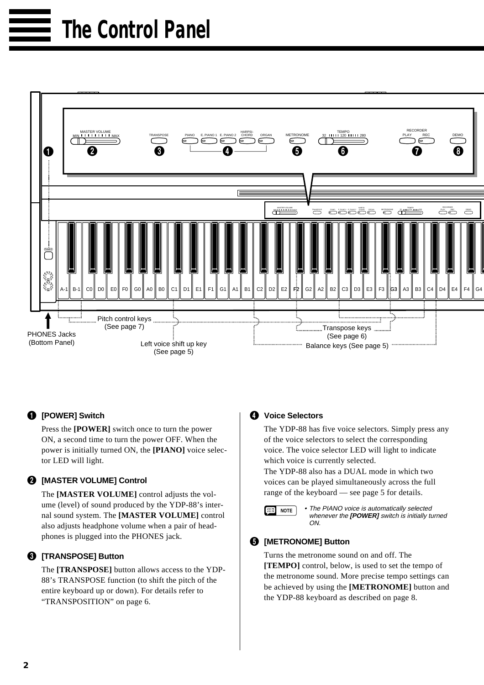

### 1 **[POWER] Switch**

Press the **[POWER]** switch once to turn the power ON, a second time to turn the power OFF. When the power is initially turned ON, the **[PIANO]** voice selector LED will light.

### 2 **[MASTER VOLUME] Control**

The **[MASTER VOLUME]** control adjusts the volume (level) of sound produced by the YDP-88's internal sound system. The **[MASTER VOLUME]** control also adjusts headphone volume when a pair of headphones is plugged into the PHONES jack.

### 3 **[TRANSPOSE] Button**

The **[TRANSPOSE]** button allows access to the YDP-88's TRANSPOSE function (to shift the pitch of the entire keyboard up or down). For details refer to "TRANSPOSITION" on page 6.

### 4 **Voice Selectors**

The YDP-88 has five voice selectors. Simply press any of the voice selectors to select the corresponding voice. The voice selector LED will light to indicate which voice is currently selected.

The YDP-88 also has a DUAL mode in which two voices can be played simultaneously across the full range of the keyboard — see page 5 for details.



**NOTE** • The PIANO voice is automatically selected whenever the **[POWER]** switch is initially turned ON.

### 5 **[METRONOME] Button**

Turns the metronome sound on and off. The **[TEMPO]** control, below, is used to set the tempo of the metronome sound. More precise tempo settings can be achieved by using the **[METRONOME]** button and the YDP-88 keyboard as described on page 8.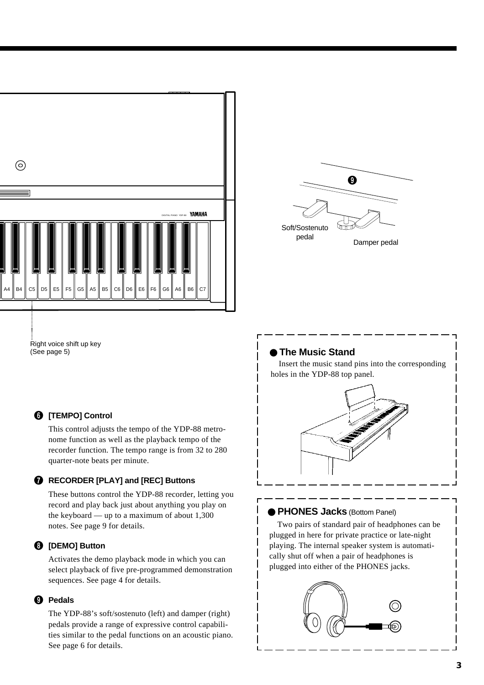

 $\boldsymbol{0}$ ᠳ᠊ Soft/Sostenuto pedal Damper pedal

Right voice shift up key (See page 5)

### 6 **[TEMPO] Control**

This control adjusts the tempo of the YDP-88 metronome function as well as the playback tempo of the recorder function. The tempo range is from 32 to 280 quarter-note beats per minute.

### 7 **RECORDER [PLAY] and [REC] Buttons**

These buttons control the YDP-88 recorder, letting you record and play back just about anything you play on the keyboard — up to a maximum of about 1,300 notes. See page 9 for details.

### 8 **[DEMO] Button**

Activates the demo playback mode in which you can select playback of five pre-programmed demonstration sequences. See page 4 for details.

### 9 **Pedals**

The YDP-88's soft/sostenuto (left) and damper (right) pedals provide a range of expressive control capabilities similar to the pedal functions on an acoustic piano. See page 6 for details.

### ● **The Music Stand**

Insert the music stand pins into the corresponding holes in the YDP-88 top panel.



### ● **PHONES Jacks** (Bottom Panel)

Two pairs of standard pair of headphones can be plugged in here for private practice or late-night playing. The internal speaker system is automatically shut off when a pair of headphones is plugged into either of the PHONES jacks.

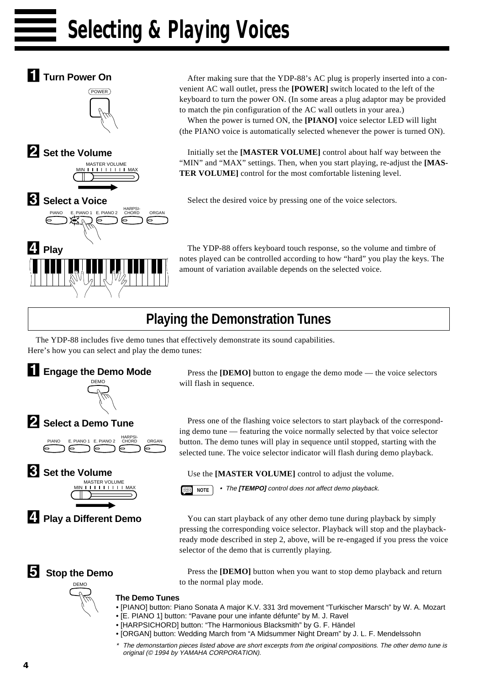# **Selecting & Playing Voices**



**Turn Power On** After making sure that the YDP-88's AC plug is properly inserted into a convenient AC wall outlet, press the **[POWER]** switch located to the left of the keyboard to turn the power ON. (In some areas a plug adaptor may be provided to match the pin configuration of the AC wall outlets in your area.)

When the power is turned ON, the **[PIANO]** voice selector LED will light (the PIANO voice is automatically selected whenever the power is turned ON).

Initially set the **[MASTER VOLUME]** control about half way between the "MIN" and "MAX" settings. Then, when you start playing, re-adjust the [MAS-**TER VOLUME]** control for the most comfortable listening level.

Select the desired voice by pressing one of the voice selectors.

The YDP-88 offers keyboard touch response, so the volume and timbre of notes played can be controlled according to how "hard" you play the keys. The amount of variation available depends on the selected voice.

## **Playing the Demonstration Tunes**

The YDP-88 includes five demo tunes that effectively demonstrate its sound capabilities. Here's how you can select and play the demo tunes:



Press the **[DEMO]** button to engage the demo mode — the voice selectors will flash in sequence.

Press one of the flashing voice selectors to start playback of the corresponding demo tune — featuring the voice normally selected by that voice selector button. The demo tunes will play in sequence until stopped, starting with the selected tune. The voice selector indicator will flash during demo playback.

Use the **[MASTER VOLUME]** control to adjust the volume.

**NOTE** • The **[TEMPO]** control does not affect demo playback.

You can start playback of any other demo tune during playback by simply pressing the corresponding voice selector. Playback will stop and the playbackready mode described in step 2, above, will be re-engaged if you press the voice selector of the demo that is currently playing.

Press the **[DEMO]** button when you want to stop demo playback and return to the normal play mode.

- [PIANO] button: Piano Sonata A major K.V. 331 3rd movement "Turkischer Marsch" by W. A. Mozart
- [E. PIANO 1] button: "Pavane pour une infante défunte" by M. J. Ravel
- [HARPSICHORD] button: "The Harmonious Blacksmith" by G. F. Händel
- [ORGAN] button: Wedding March from "A Midsummer Night Dream" by J. L. F. Mendelssohn
- The demonstartion pieces listed above are short excerpts from the original compositions. The other demo tune is original (© 1994 by YAMAHA CORPORATION).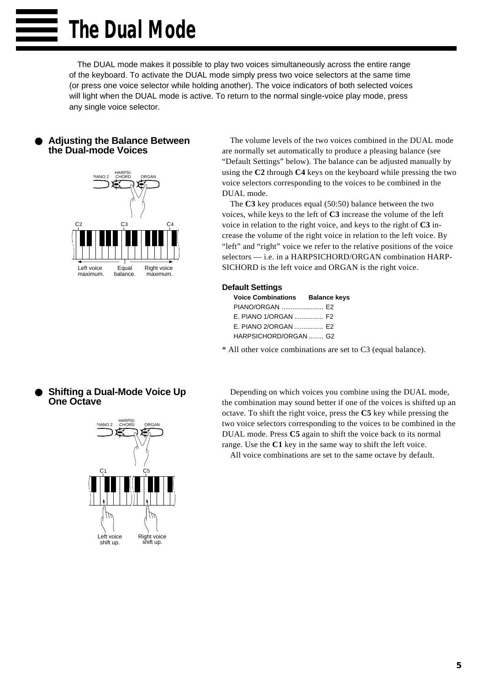The DUAL mode makes it possible to play two voices simultaneously across the entire range of the keyboard. To activate the DUAL mode simply press two voice selectors at the same time (or press one voice selector while holding another). The voice indicators of both selected voices will light when the DUAL mode is active. To return to the normal single-voice play mode, press any single voice selector.

### **Adjusting the Balance Between the Dual-mode Voices**



The volume levels of the two voices combined in the DUAL mode are normally set automatically to produce a pleasing balance (see "Default Settings" below). The balance can be adjusted manually by using the **C2** through **C4** keys on the keyboard while pressing the two voice selectors corresponding to the voices to be combined in the DUAL mode.

The **C3** key produces equal (50:50) balance between the two voices, while keys to the left of **C3** increase the volume of the left voice in relation to the right voice, and keys to the right of **C3** increase the volume of the right voice in relation to the left voice. By "left" and "right" voice we refer to the relative positions of the voice selectors — i.e. in a HARPSICHORD/ORGAN combination HARP-SICHORD is the left voice and ORGAN is the right voice.

### **Default Settings**

| <b>Voice Combinations Balance keys</b> |  |
|----------------------------------------|--|
| PIANO/ORGAN  E2                        |  |
| E. PIANO 1/ORGAN  F2                   |  |
| E. PIANO 2/ORGAN  E2                   |  |
| HARPSICHORD/ORGAN  G2                  |  |

\* All other voice combinations are set to C3 (equal balance).

### **Shifting a Dual-Mode Voice Up One Octave**



Depending on which voices you combine using the DUAL mode, the combination may sound better if one of the voices is shifted up an octave. To shift the right voice, press the **C5** key while pressing the two voice selectors corresponding to the voices to be combined in the DUAL mode. Press **C5** again to shift the voice back to its normal range. Use the **C1** key in the same way to shift the left voice.

All voice combinations are set to the same octave by default.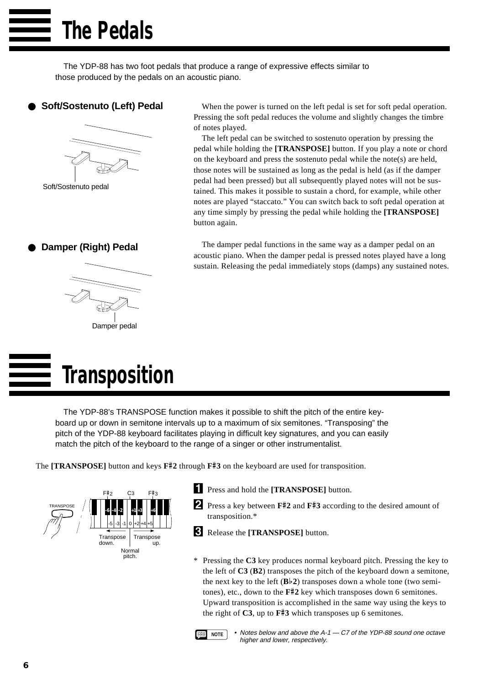The YDP-88 has two foot pedals that produce a range of expressive effects similar to those produced by the pedals on an acoustic piano.

### ● **Soft/Sostenuto (Left) Pedal**



Soft/Sostenuto pedal

**Damper (Right) Pedal** 



# **Transposition**

When the power is turned on the left pedal is set for soft pedal operation. Pressing the soft pedal reduces the volume and slightly changes the timbre of notes played.

The left pedal can be switched to sostenuto operation by pressing the pedal while holding the **[TRANSPOSE]** button. If you play a note or chord on the keyboard and press the sostenuto pedal while the note(s) are held, those notes will be sustained as long as the pedal is held (as if the damper pedal had been pressed) but all subsequently played notes will not be sustained. This makes it possible to sustain a chord, for example, while other notes are played "staccato." You can switch back to soft pedal operation at any time simply by pressing the pedal while holding the **[TRANSPOSE]** button again.

The damper pedal functions in the same way as a damper pedal on an acoustic piano. When the damper pedal is pressed notes played have a long sustain. Releasing the pedal immediately stops (damps) any sustained notes.

The YDP-88's TRANSPOSE function makes it possible to shift the pitch of the entire keyboard up or down in semitone intervals up to a maximum of six semitones. "Transposing" the pitch of the YDP-88 keyboard facilitates playing in difficult key signatures, and you can easily match the pitch of the keyboard to the range of a singer or other instrumentalist.

The **[TRANSPOSE]** button and keys **F**#**2** through **F**#**3** on the keyboard are used for transposition.



- **EXPRESS and hold the <b>[TRANSPOSE]** button.
- **2** Press a key between **F#2** and **F#3** according to the desired amount of transposition.\*
- CRelease the **[TRANSPOSE]** button.
- \* Pressing the **C3** key produces normal keyboard pitch. Pressing the key to the left of **C3** (**B2**) transposes the pitch of the keyboard down a semitone, the next key to the left  $(Bb2)$  transposes down a whole tone (two semitones), etc., down to the **F**#**2** key which transposes down 6 semitones. Upward transposition is accomplished in the same way using the keys to the right of **C3**, up to **F**#**3** which transposes up 6 semitones.



**NOTE** • Notes below and above the A-1 - C7 of the YDP-88 sound one octave higher and lower, respectively.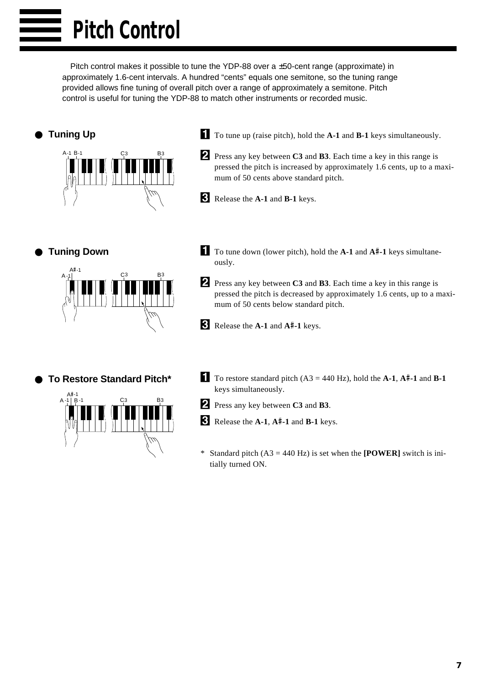Pitch control makes it possible to tune the YDP-88 over a ±50-cent range (approximate) in approximately 1.6-cent intervals. A hundred "cents" equals one semitone, so the tuning range provided allows fine tuning of overall pitch over a range of approximately a semitone. Pitch control is useful for tuning the YDP-88 to match other instruments or recorded music.

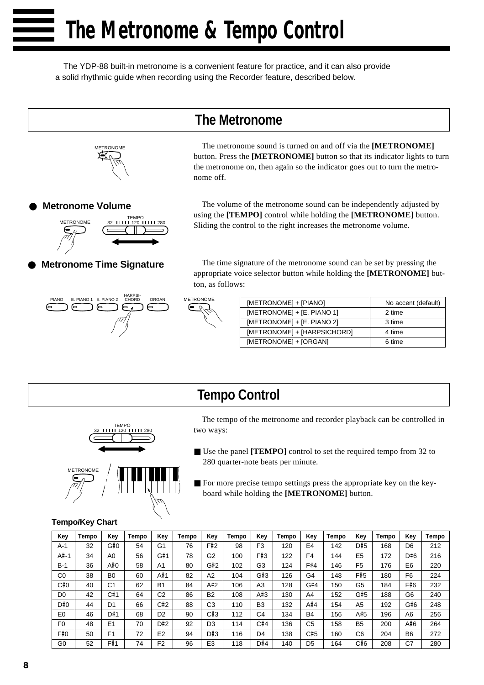The YDP-88 built-in metronome is a convenient feature for practice, and it can also provide a solid rhythmic guide when recording using the Recorder feature, described below.

**The Metronome**



The metronome sound is turned on and off via the **[METRONOME]** button. Press the **[METRONOME]** button so that its indicator lights to turn the metronome on, then again so the indicator goes out to turn the metronome off.

**Metronome Volume** 



**Metronome Time Signature** 

The volume of the metronome sound can be independently adjusted by using the **[TEMPO]** control while holding the **[METRONOME]** button. Sliding the control to the right increases the metronome volume.

The time signature of the metronome sound can be set by pressing the appropriate voice selector button while holding the **[METRONOME]** button, as follows:





| [METRONOME] + [PIANO]       | No accent (default) |
|-----------------------------|---------------------|
| [METRONOME] + [E. PIANO 1]  | 2 time              |
| [METRONOME] + [E. PIANO 2]  | 3 time              |
| [METRONOME] + [HARPSICHORD] | 4 time              |
| [METRONOME] + [ORGAN]       | 6 time              |
|                             |                     |

## **Tempo Control**



The tempo of the metronome and recorder playback can be controlled in two ways:

- Use the panel [**TEMPO**] control to set the required tempo from 32 to 280 quarter-note beats per minute.
- For more precise tempo settings press the appropriate key on the keyboard while holding the **[METRONOME]** button.

| <b>Tempo/Key Chart</b> |  |
|------------------------|--|
|------------------------|--|

| Key            | Tempo | Key            | Tempo | Key            | Tempo | Key            | Tempo | Key            | Tempo | Kev            | Tempo | Key            | Tempo | Key            | Tempo |
|----------------|-------|----------------|-------|----------------|-------|----------------|-------|----------------|-------|----------------|-------|----------------|-------|----------------|-------|
| A-1            | 32    | G#0            | 54    | G <sub>1</sub> | 76    | F#2            | 98    | F <sub>3</sub> | 120   | E <sub>4</sub> | 142   | D#5            | 168   | D <sub>6</sub> | 212   |
| A#-1           | 34    | A0             | 56    | G#1            | 78    | G <sub>2</sub> | 100   | F#3            | 122   | F4             | 144   | E <sub>5</sub> | 172   | D#6            | 216   |
| B-1            | 36    | A#0            | 58    | A <sub>1</sub> | 80    | G#2            | 102   | G3             | 124   | F#4            | 146   | F <sub>5</sub> | 176   | E <sub>6</sub> | 220   |
| C <sub>0</sub> | 38    | B <sub>0</sub> | 60    | A#1            | 82    | A2             | 104   | G#3            | 126   | G4             | 148   | F#5            | 180   | F <sub>6</sub> | 224   |
| C#0            | 40    | C1             | 62    | <b>B1</b>      | 84    | A#2            | 106   | A3             | 128   | G#4            | 150   | G <sub>5</sub> | 184   | F#6            | 232   |
| D0             | 42    | C#1            | 64    | C2             | 86    | B <sub>2</sub> | 108   | A#3            | 130   | A4             | 152   | G#5            | 188   | G6             | 240   |
| D#0            | 44    | D <sub>1</sub> | 66    | C#2            | 88    | C <sub>3</sub> | 110   | B <sub>3</sub> | 132   | A#4            | 154   | A <sub>5</sub> | 192   | G#6            | 248   |
| E <sub>0</sub> | 46    | D#1            | 68    | D <sub>2</sub> | 90    | C#3            | 112   | C4             | 134   | <b>B4</b>      | 156   | A#5            | 196   | A <sub>6</sub> | 256   |
| F <sub>0</sub> | 48    | E <sub>1</sub> | 70    | D#2            | 92    | D3             | 114   | C#4            | 136   | C <sub>5</sub> | 158   | B <sub>5</sub> | 200   | A#6            | 264   |
| F#0            | 50    | F1             | 72    | E <sub>2</sub> | 94    | D#3            | 116   | D4             | 138   | C#5            | 160   | C6             | 204   | B <sub>6</sub> | 272   |
| G0             | 52    | F#1            | 74    | F <sub>2</sub> | 96    | E <sub>3</sub> | 118   | D#4            | 140   | D <sub>5</sub> | 164   | C#6            | 208   | C7             | 280   |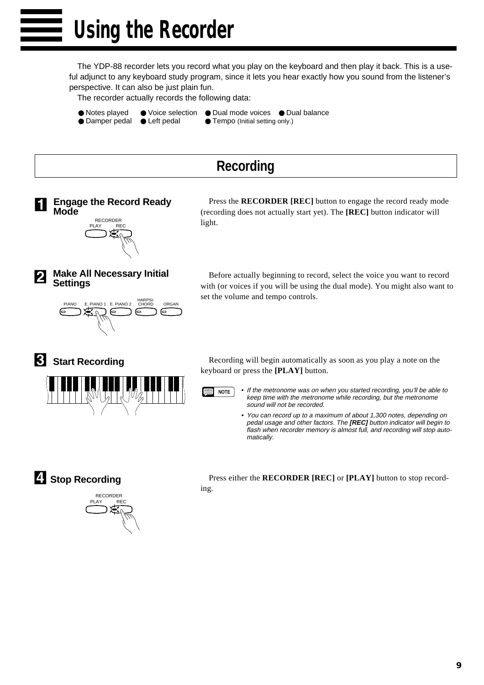**Using the Recorder**

The YDP-88 recorder lets you record what you play on the keyboard and then play it back. This is a useful adjunct to any keyboard study program, since it lets you hear exactly how you sound from the listener's perspective. It can also be just plain fun.

The recorder actually records the following data:

- 
- 
- Notes played Voice selection Dual mode voices Dual balance<br>● Damper pedal Left pedal Tempo (Initial setting only.)
- Damper pedal Left pedal
	-
- - **Recording**





Press the **RECORDER [REC]** button to engage the record ready mode (recording does not actually start yet). The **[REC]** button indicator will light.

**Make All Necessary Initial Settings**



Before actually beginning to record, select the voice you want to record with (or voices if you will be using the dual mode). You might also want to set the volume and tempo controls.





Recording will begin automatically as soon as you play a note on the keyboard or press the **[PLAY]** button.



**NOTE** • If the metronome was on when you started recording, you'll be able to keep time with the metronome while recording, but the metronome sound will not be recorded.

• You can record up to a maximum of about 1,300 notes, depending on pedal usage and other factors. The **[REC]** button indicator will begin to flash when recorder memory is almost full, and recording will stop automatically.

V**Stop Recording**



Press either the **RECORDER [REC]** or **[PLAY]** button to stop recording.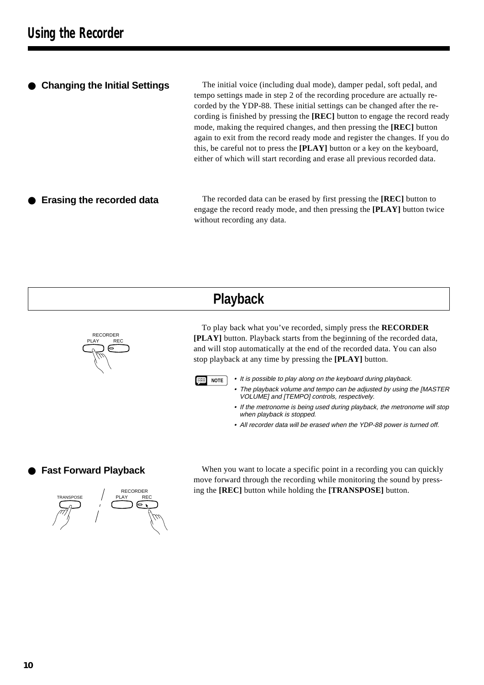### ● **Changing the Initial Settings**

The initial voice (including dual mode), damper pedal, soft pedal, and tempo settings made in step 2 of the recording procedure are actually recorded by the YDP-88. These initial settings can be changed after the recording is finished by pressing the **[REC]** button to engage the record ready mode, making the required changes, and then pressing the **[REC]** button again to exit from the record ready mode and register the changes. If you do this, be careful not to press the **[PLAY]** button or a key on the keyboard, either of which will start recording and erase all previous recorded data.

**Erasing the recorded data** The recorded data can be erased by first pressing the **[REC]** button to engage the record ready mode, and then pressing the **[PLAY]** button twice without recording any data.

## **Playback**



To play back what you've recorded, simply press the **RECORDER [PLAY]** button. Playback starts from the beginning of the recorded data, and will stop automatically at the end of the recorded data. You can also stop playback at any time by pressing the **[PLAY]** button.



- **NOTE** It is possible to play along on the keyboard during playback.
	- The playback volume and tempo can be adjusted by using the [MASTER VOLUME] and [TEMPO] controls, respectively.
	- If the metronome is being used during playback, the metronome will stop when playback is stopped.
	- All recorder data will be erased when the YDP-88 power is turned off.

### **Fast Forward Playback**



When you want to locate a specific point in a recording you can quickly move forward through the recording while monitoring the sound by pressing the **[REC]** button while holding the **[TRANSPOSE]** button.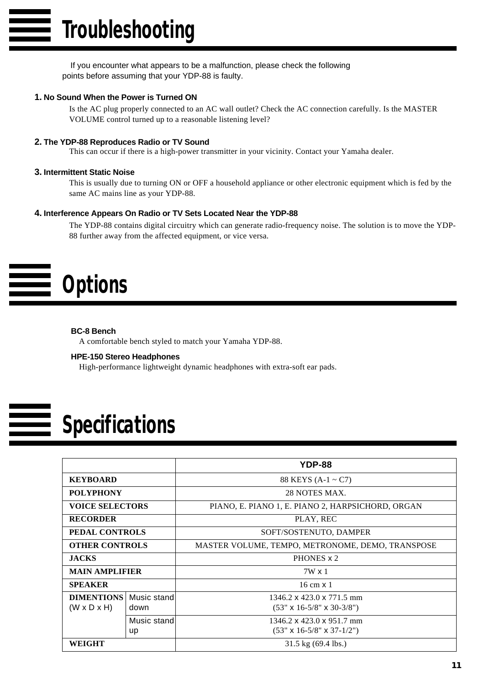If you encounter what appears to be a malfunction, please check the following points before assuming that your YDP-88 is faulty.

### **1. No Sound When the Power is Turned ON**

Is the AC plug properly connected to an AC wall outlet? Check the AC connection carefully. Is the MASTER VOLUME control turned up to a reasonable listening level?

### **2. The YDP-88 Reproduces Radio or TV Sound**

This can occur if there is a high-power transmitter in your vicinity. Contact your Yamaha dealer.

### **3. Intermittent Static Noise**

This is usually due to turning ON or OFF a household appliance or other electronic equipment which is fed by the same AC mains line as your YDP-88.

### **4. Interference Appears On Radio or TV Sets Located Near the YDP-88**

The YDP-88 contains digital circuitry which can generate radio-frequency noise. The solution is to move the YDP-88 further away from the affected equipment, or vice versa.

# **Options**

### **BC-8 Bench**

A comfortable bench styled to match your Yamaha YDP-88.

### **HPE-150 Stereo Headphones**

High-performance lightweight dynamic headphones with extra-soft ear pads.

# **Specifications**

|                         |             | YDP-88                                            |  |  |  |  |  |
|-------------------------|-------------|---------------------------------------------------|--|--|--|--|--|
| <b>KEYBOARD</b>         |             | 88 KEYS $(A-1 \sim C7)$                           |  |  |  |  |  |
| <b>POLYPHONY</b>        |             | 28 NOTES MAX.                                     |  |  |  |  |  |
| <b>VOICE SELECTORS</b>  |             | PIANO, E. PIANO 1, E. PIANO 2, HARPSICHORD, ORGAN |  |  |  |  |  |
| <b>RECORDER</b>         |             | PLAY, REC                                         |  |  |  |  |  |
| PEDAL CONTROLS          |             | SOFT/SOSTENUTO, DAMPER                            |  |  |  |  |  |
| <b>OTHER CONTROLS</b>   |             | MASTER VOLUME, TEMPO, METRONOME, DEMO, TRANSPOSE  |  |  |  |  |  |
| <b>JACKS</b>            |             | PHONES x 2                                        |  |  |  |  |  |
| <b>MAIN AMPLIFIER</b>   |             | $7W \times 1$                                     |  |  |  |  |  |
| <b>SPEAKER</b>          |             | $16 \text{ cm} \times 1$                          |  |  |  |  |  |
| <b>DIMENTIONS</b>       | Music stand | 1346.2 x 423.0 x 771.5 mm                         |  |  |  |  |  |
| $(W \times D \times H)$ | down        | $(53" \times 16 - 5/8" \times 30 - 3/8")$         |  |  |  |  |  |
|                         | Music stand | 1346.2 x 423.0 x 951.7 mm                         |  |  |  |  |  |
|                         | up          | $(53" \times 16 - 5/8" \times 37 - 1/2")$         |  |  |  |  |  |
| WEIGHT                  |             | $31.5 \text{ kg}$ (69.4 lbs.)                     |  |  |  |  |  |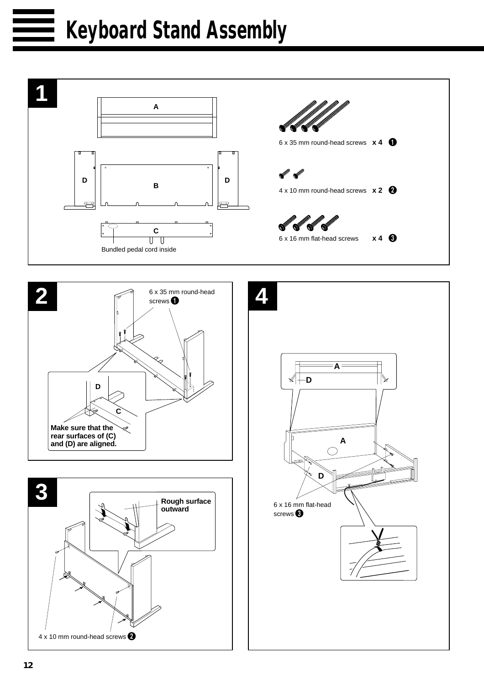# **Keyboard Stand Assembly**







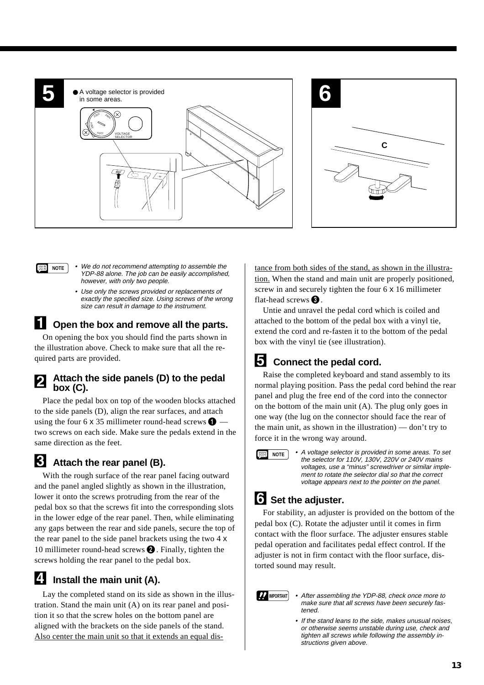

- **NOTE** We do not recommend attempting to assemble the YDP-88 alone. The job can be easily accomplished, however, with only two people.
	- Use only the screws provided or replacements of exactly the specified size. Using screws of the wrong size can result in damage to the instrument.

### **ZOpen the box and remove all the parts.**

On opening the box you should find the parts shown in the illustration above. Check to make sure that all the required parts are provided.

### **Attach the side panels (D) to the pedal box (C).**

Place the pedal box on top of the wooden blocks attached to the side panels (D), align the rear surfaces, and attach using the four 6 x 35 millimeter round-head screws  $\bigcirc$  two screws on each side. Make sure the pedals extend in the same direction as the feet.

### **RAttach the rear panel (B).**

With the rough surface of the rear panel facing outward and the panel angled slightly as shown in the illustration, lower it onto the screws protruding from the rear of the pedal box so that the screws fit into the corresponding slots in the lower edge of the rear panel. Then, while eliminating any gaps between the rear and side panels, secure the top of the rear panel to the side panel brackets using the two 4 x 10 millimeter round-head screws  $\bigcirc$ . Finally, tighten the screws holding the rear panel to the pedal box.

### **ZI** Install the main unit (A).

Lay the completed stand on its side as shown in the illustration. Stand the main unit (A) on its rear panel and position it so that the screw holes on the bottom panel are aligned with the brackets on the side panels of the stand. Also center the main unit so that it extends an equal distance from both sides of the stand, as shown in the illustration. When the stand and main unit are properly positioned, screw in and securely tighten the four 6 x 16 millimeter flat-head screws  $\bigcirc$ .

Untie and unravel the pedal cord which is coiled and attached to the bottom of the pedal box with a vinyl tie, extend the cord and re-fasten it to the bottom of the pedal box with the vinyl tie (see illustration).

## **F1** Connect the pedal cord.

Raise the completed keyboard and stand assembly to its normal playing position. Pass the pedal cord behind the rear panel and plug the free end of the cord into the connector on the bottom of the main unit (A). The plug only goes in one way (the lug on the connector should face the rear of the main unit, as shown in the illustration) — don't try to force it in the wrong way around.



**NOTE** • A voltage selector is provided in some areas. To set the selector for 110V, 130V, 220V or 240V mains voltages, use a "minus" screwdriver or similar implement to rotate the selector dial so that the correct voltage appears next to the pointer on the panel.

### Set the adjuster.

For stability, an adjuster is provided on the bottom of the pedal box (C). Rotate the adjuster until it comes in firm contact with the floor surface. The adjuster ensures stable pedal operation and facilitates pedal effect control. If the adjuster is not in firm contact with the floor surface, distorted sound may result.

- **IMPORTANT** After assembling the YDP-88, check once more to make sure that all screws have been securely fastened.
	- If the stand leans to the side, makes unusual noises, or otherwise seems unstable during use, check and tighten all screws while following the assembly instructions given above.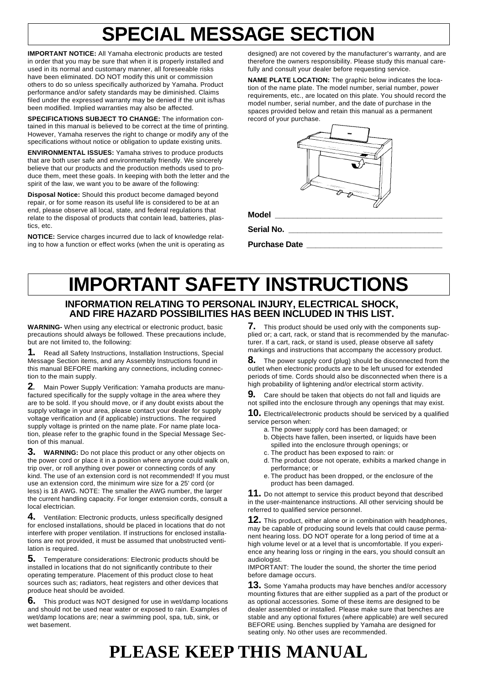# **SPECIAL MESSAGE SECTION**

**IMPORTANT NOTICE:** All Yamaha electronic products are tested in order that you may be sure that when it is properly installed and used in its normal and customary manner, all foreseeable risks have been eliminated. DO NOT modify this unit or commission others to do so unless specifically authorized by Yamaha. Product performance and/or safety standards may be diminished. Claims filed under the expressed warranty may be denied if the unit is/has been modified. Implied warranties may also be affected.

**SPECIFICATIONS SUBJECT TO CHANGE:** The information contained in this manual is believed to be correct at the time of printing. However, Yamaha reserves the right to change or modify any of the specifications without notice or obligation to update existing units.

**ENVIRONMENTAL ISSUES:** Yamaha strives to produce products that are both user safe and environmentally friendly. We sincerely believe that our products and the production methods used to produce them, meet these goals. In keeping with both the letter and the spirit of the law, we want you to be aware of the following:

**Disposal Notice:** Should this product become damaged beyond repair, or for some reason its useful life is considered to be at an end, please observe all local, state, and federal regulations that relate to the disposal of products that contain lead, batteries, plastics, etc.

**NOTICE:** Service charges incurred due to lack of knowledge relating to how a function or effect works (when the unit is operating as

designed) are not covered by the manufacturer's warranty, and are therefore the owners responsibility. Please study this manual carefully and consult your dealer before requesting service.

**NAME PLATE LOCATION:** The graphic below indicates the location of the name plate. The model number, serial number, power requirements, etc., are located on this plate. You should record the model number, serial number, and the date of purchase in the spaces provided below and retain this manual as a permanent record of your purchase.

| <b>There's State</b><br>$\sim$<br>بريانية فأنسب |
|-------------------------------------------------|

**Model \_\_\_\_\_\_\_\_\_\_\_\_\_\_\_\_\_\_\_\_\_\_\_\_\_\_\_\_\_\_\_\_\_\_\_\_\_**

**Serial No. \_\_\_\_\_\_\_\_\_\_\_\_\_\_\_\_\_\_\_\_\_\_\_\_\_\_\_\_\_\_\_\_\_\_**

**Purchase Date \_\_\_\_\_\_\_\_\_\_\_\_\_\_\_\_\_\_\_\_\_\_\_\_\_\_\_\_\_\_**

# **IMPORTANT SAFETY INSTRUCTIONS**

### **INFORMATION RELATING TO PERSONAL INJURY, ELECTRICAL SHOCK, AND FIRE HAZARD POSSIBILITIES HAS BEEN INCLUDED IN THIS LIST.**

**WARNING-** When using any electrical or electronic product, basic precautions should always be followed. These precautions include, but are not limited to, the following:

**1.** Read all Safety Instructions, Installation Instructions, Special Message Section items, and any Assembly Instructions found in this manual BEFORE marking any connections, including connection to the main supply.

**2**. Main Power Supply Verification: Yamaha products are manufactured specifically for the supply voltage in the area where they are to be sold. If you should move, or if any doubt exists about the supply voltage in your area, please contact your dealer for supply voltage verification and (if applicable) instructions. The required supply voltage is printed on the name plate. For name plate location, please refer to the graphic found in the Special Message Section of this manual.

**3. WARNING:** Do not place this product or any other objects on the power cord or place it in a position where anyone could walk on, trip over, or roll anything over power or connecting cords of any kind. The use of an extension cord is not recommended! If you must use an extension cord, the minimum wire size for a 25' cord (or less) is 18 AWG. NOTE: The smaller the AWG number, the larger the current handling capacity. For longer extension cords, consult a local electrician.

**4.** Ventilation: Electronic products, unless specifically designed for enclosed installations, should be placed in locations that do not interfere with proper ventilation. If instructions for enclosed installations are not provided, it must be assumed that unobstructed ventilation is required.

**5.** Temperature considerations: Electronic products should be installed in locations that do not significantly contribute to their operating temperature. Placement of this product close to heat sources such as; radiators, heat registers and other devices that produce heat should be avoided.

**6.** This product was NOT designed for use in wet/damp locations and should not be used near water or exposed to rain. Examples of wet/damp locations are; near a swimming pool, spa, tub, sink, or wet basement.

**7.** This product should be used only with the components supplied or; a cart, rack, or stand that is recommended by the manufacturer. If a cart, rack, or stand is used, please observe all safety markings and instructions that accompany the accessory product.

**8.** The power supply cord (plug) should be disconnected from the outlet when electronic products are to be left unused for extended periods of time. Cords should also be disconnected when there is a high probability of lightening and/or electrical storm activity.

**9.** Care should be taken that objects do not fall and liquids are not spilled into the enclosure through any openings that may exist.

**10.** Electrical/electronic products should be serviced by a qualified service person when:

- a. The power supply cord has been damaged; or
- b. Objects have fallen, been inserted, or liquids have been spilled into the enclosure through openings; or
- c. The product has been exposed to rain: or
- d. The product dose not operate, exhibits a marked change in performance; or
- e. The product has been dropped, or the enclosure of the product has been damaged.

**11.** Do not attempt to service this product beyond that described in the user-maintenance instructions. All other servicing should be referred to qualified service personnel.

**12.** This product, either alone or in combination with headphones, may be capable of producing sound levels that could cause permanent hearing loss. DO NOT operate for a long period of time at a high volume level or at a level that is uncomfortable. If you experience any hearing loss or ringing in the ears, you should consult an audiologist.

IMPORTANT: The louder the sound, the shorter the time period before damage occurs.

**13.** Some Yamaha products may have benches and/or accessory mounting fixtures that are either supplied as a part of the product or as optional accessories. Some of these items are designed to be dealer assembled or installed. Please make sure that benches are stable and any optional fixtures (where applicable) are well secured BEFORE using. Benches supplied by Yamaha are designed for seating only. No other uses are recommended.

# **PLEASE KEEP THIS MANUAL**